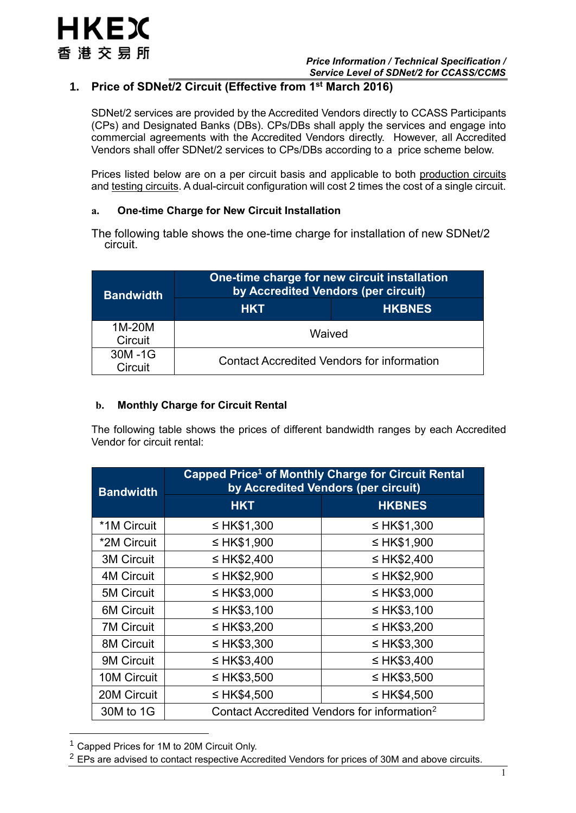# **1. Price of SDNet/2 Circuit (Effective from 1st March 2016)**

SDNet/2 services are provided by the Accredited Vendors directly to CCASS Participants (CPs) and Designated Banks (DBs). CPs/DBs shall apply the services and engage into commercial agreements with the Accredited Vendors directly. However, all Accredited Vendors shall offer SDNet/2 services to CPs/DBs according to a price scheme below.

Prices listed below are on a per circuit basis and applicable to both production circuits and testing circuits. A dual-circuit configuration will cost 2 times the cost of a single circuit.

### **a. One-time Charge for New Circuit Installation**

The following table shows the one-time charge for installation of new SDNet/2 circuit.

| <b>Bandwidth</b>  | One-time charge for new circuit installation<br>by Accredited Vendors (per circuit) |               |
|-------------------|-------------------------------------------------------------------------------------|---------------|
|                   | <b>HKT</b>                                                                          | <b>HKBNES</b> |
| 1M-20M<br>Circuit | Waived                                                                              |               |
| 30M-1G<br>Circuit | <b>Contact Accredited Vendors for information</b>                                   |               |

### **b. Monthly Charge for Circuit Rental**

The following table shows the prices of different bandwidth ranges by each Accredited Vendor for circuit rental:

| <b>Bandwidth</b>   | Capped Price <sup>1</sup> of Monthly Charge for Circuit Rental<br>by Accredited Vendors (per circuit) |                  |  |
|--------------------|-------------------------------------------------------------------------------------------------------|------------------|--|
|                    | <b>HKT</b>                                                                                            | <b>HKBNES</b>    |  |
| *1M Circuit        | ≤ HK\$1,300                                                                                           | ≤ HK\$1,300      |  |
| *2M Circuit        | ≤ HK\$1,900                                                                                           | ≤ HK\$1,900      |  |
| <b>3M Circuit</b>  | ≤ HK\$2,400                                                                                           | ≤ HK\$2,400      |  |
| <b>4M Circuit</b>  | $\leq$ HK\$2,900                                                                                      | ≤ HK\$2,900      |  |
| <b>5M Circuit</b>  | ≤ HK\$3,000                                                                                           | $\leq$ HK\$3,000 |  |
| <b>6M Circuit</b>  | ≤ HK\$3,100                                                                                           | $\leq$ HK\$3,100 |  |
| <b>7M Circuit</b>  | $\leq$ HK\$3,200                                                                                      | $\leq$ HK\$3,200 |  |
| <b>8M Circuit</b>  | $\leq$ HK\$3,300                                                                                      | $\leq$ HK\$3,300 |  |
| 9M Circuit         | ≤ HK\$3,400                                                                                           | $\leq$ HK\$3,400 |  |
| <b>10M Circuit</b> | $\leq$ HK\$3,500                                                                                      | ≤ HK\$3,500      |  |
| 20M Circuit        | ≤ HK\$4,500                                                                                           | ≤ HK\$4,500      |  |
| 30M to 1G          | Contact Accredited Vendors for information <sup>2</sup>                                               |                  |  |

<sup>&</sup>lt;sup>1</sup> Capped Prices for 1M to 20M Circuit Only.

<u>.</u>

 $2$  EPs are advised to contact respective Accredited Vendors for prices of 30M and above circuits.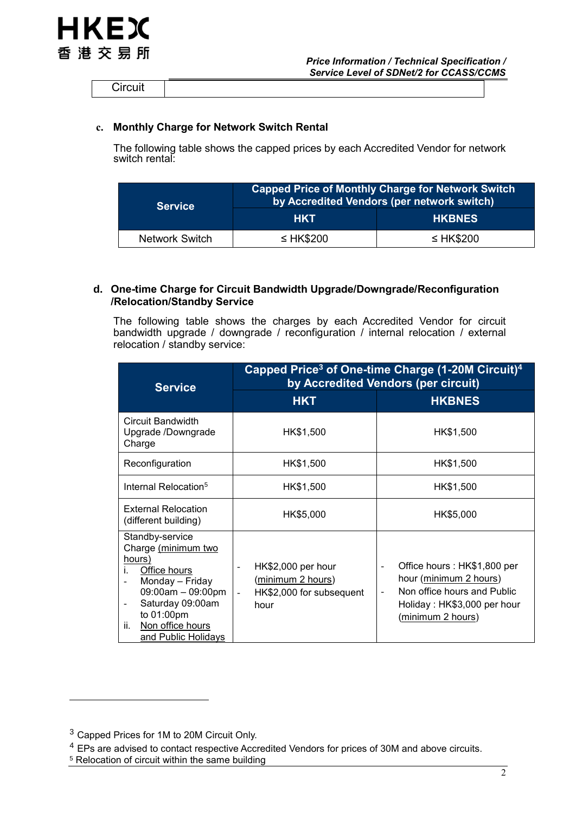

**Circuit** 

### **c. Monthly Charge for Network Switch Rental**

The following table shows the capped prices by each Accredited Vendor for network switch rental:

| <b>Service</b> | <b>Capped Price of Monthly Charge for Network Switch</b><br>by Accredited Vendors (per network switch) |                |
|----------------|--------------------------------------------------------------------------------------------------------|----------------|
|                | <b>HKT</b>                                                                                             | <b>HKBNES</b>  |
| Network Switch | $\leq$ HK\$200                                                                                         | $\leq$ HK\$200 |

### **d. One-time Charge for Circuit Bandwidth Upgrade/Downgrade/Reconfiguration /Relocation/Standby Service**

The following table shows the charges by each Accredited Vendor for circuit bandwidth upgrade / downgrade / reconfiguration / internal relocation / external relocation / standby service:

| <b>Service</b>                                                                                                                                                                                     | Capped Price <sup>3</sup> of One-time Charge (1-20M Circuit) <sup>4</sup><br>by Accredited Vendors (per circuit)          |                                                                                                                                                                                |  |
|----------------------------------------------------------------------------------------------------------------------------------------------------------------------------------------------------|---------------------------------------------------------------------------------------------------------------------------|--------------------------------------------------------------------------------------------------------------------------------------------------------------------------------|--|
|                                                                                                                                                                                                    | <b>HKT</b>                                                                                                                | <b>HKBNES</b>                                                                                                                                                                  |  |
| Circuit Bandwidth<br>Upgrade /Downgrade<br>Charge                                                                                                                                                  | HK\$1,500                                                                                                                 | HK\$1,500                                                                                                                                                                      |  |
| Reconfiguration                                                                                                                                                                                    | HK\$1,500                                                                                                                 | HK\$1,500                                                                                                                                                                      |  |
| Internal Relocation <sup>5</sup>                                                                                                                                                                   | HK\$1,500                                                                                                                 | HK\$1,500                                                                                                                                                                      |  |
| <b>External Relocation</b><br>(different building)                                                                                                                                                 | HK\$5,000                                                                                                                 | HK\$5,000                                                                                                                                                                      |  |
| Standby-service<br>Charge (minimum two<br>hours)<br>Office hours<br>İ.<br>Monday - Friday<br>09:00am - 09:00pm<br>Saturday 09:00am<br>to 01:00pm<br>Non office hours<br>ii.<br>and Public Holidays | HK\$2,000 per hour<br>$\overline{\phantom{a}}$<br>(minimum 2 hours)<br>HK\$2,000 for subsequent<br>$\blacksquare$<br>hour | Office hours: HK\$1,800 per<br>$\overline{\phantom{a}}$<br>hour (minimum 2 hours)<br>Non office hours and Public<br>$\sim$<br>Holiday: HK\$3,000 per hour<br>(minimum 2 hours) |  |

1

<sup>5</sup> Relocation of circuit within the same building

<sup>3</sup> Capped Prices for 1M to 20M Circuit Only.

<sup>4</sup> EPs are advised to contact respective Accredited Vendors for prices of 30M and above circuits.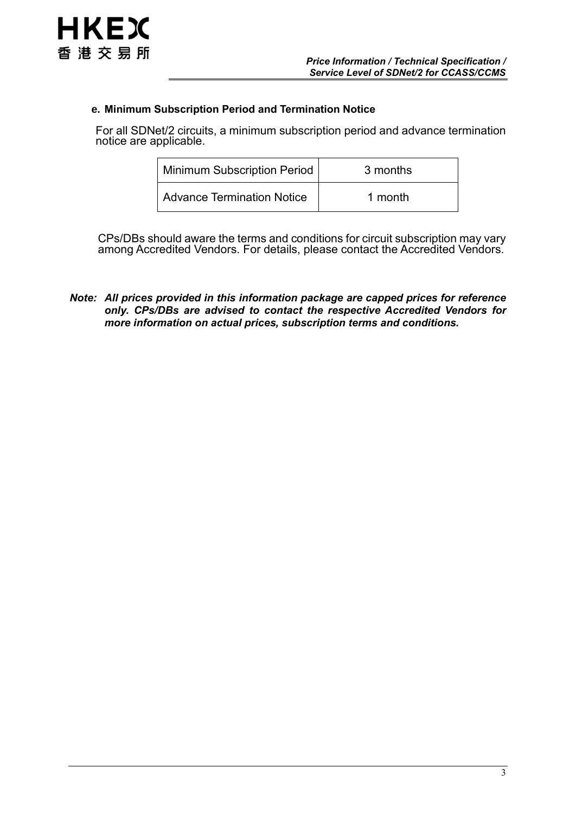

### **e. Minimum Subscription Period and Termination Notice**

For all SDNet/2 circuits, a minimum subscription period and advance termination notice are applicable.

| Minimum Subscription Period | 3 months |
|-----------------------------|----------|
| Advance Termination Notice  | 1 month  |

CPs/DBs should aware the terms and conditions for circuit subscription may vary among Accredited Vendors. For details, please contact the Accredited Vendors.

*Note: All prices provided in this information package are capped prices for reference only. CPs/DBs are advised to contact the respective Accredited Vendors for more information on actual prices, subscription terms and conditions.*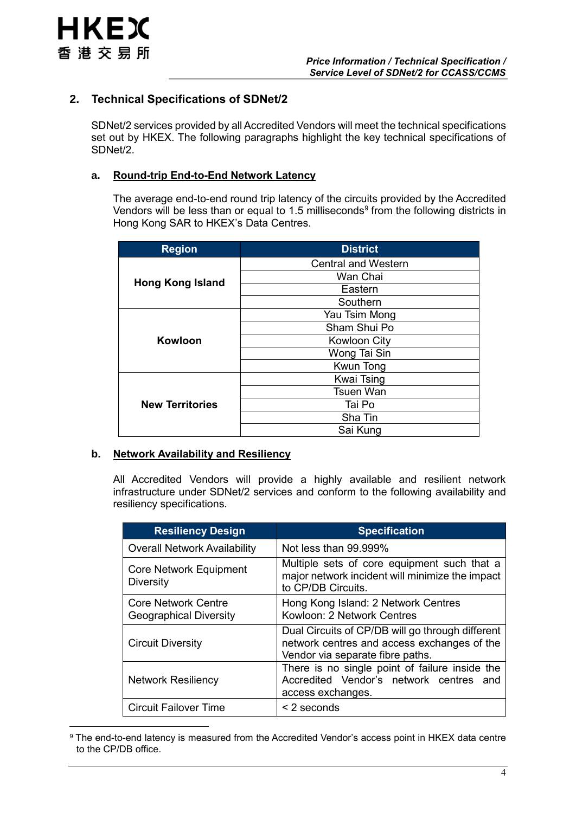

1

# **2. Technical Specifications of SDNet/2**

SDNet/2 services provided by all Accredited Vendors will meet the technical specifications set out by HKEX. The following paragraphs highlight the key technical specifications of SDNet/2.

### **a. Round-trip End-to-End Network Latency**

The average end-to-end round trip latency of the circuits provided by the Accredited Vendors will be less than or equal to 1.5 milliseconds<sup>9</sup> from the following districts in Hong Kong SAR to HKEX's Data Centres.

| <b>Region</b>           | <b>District</b>            |
|-------------------------|----------------------------|
|                         | <b>Central and Western</b> |
| <b>Hong Kong Island</b> | Wan Chai                   |
|                         | Eastern                    |
|                         | Southern                   |
|                         | Yau Tsim Mong              |
|                         | Sham Shui Po               |
| Kowloon                 | <b>Kowloon City</b>        |
|                         | Wong Tai Sin               |
|                         | Kwun Tong                  |
|                         | Kwai Tsing                 |
|                         | <b>Tsuen Wan</b>           |
| <b>New Territories</b>  | Tai Po                     |
|                         | Sha Tin                    |
|                         | Sai Kung                   |

### **b. Network Availability and Resiliency**

All Accredited Vendors will provide a highly available and resilient network infrastructure under SDNet/2 services and conform to the following availability and resiliency specifications.

| <b>Resiliency Design</b>                                    | <b>Specification</b>                                                                                                                |  |
|-------------------------------------------------------------|-------------------------------------------------------------------------------------------------------------------------------------|--|
| <b>Overall Network Availability</b>                         | Not less than 99.999%                                                                                                               |  |
| <b>Core Network Equipment</b><br><b>Diversity</b>           | Multiple sets of core equipment such that a<br>major network incident will minimize the impact<br>to CP/DB Circuits.                |  |
| <b>Core Network Centre</b><br><b>Geographical Diversity</b> | Hong Kong Island: 2 Network Centres<br>Kowloon: 2 Network Centres                                                                   |  |
| <b>Circuit Diversity</b>                                    | Dual Circuits of CP/DB will go through different<br>network centres and access exchanges of the<br>Vendor via separate fibre paths. |  |
| <b>Network Resiliency</b>                                   | There is no single point of failure inside the<br>Accredited Vendor's network centres and<br>access exchanges.                      |  |
| <b>Circuit Failover Time</b>                                | $\leq$ 2 seconds                                                                                                                    |  |

<sup>9</sup> The end-to-end latency is measured from the Accredited Vendor's access point in HKEX data centre to the CP/DB office.